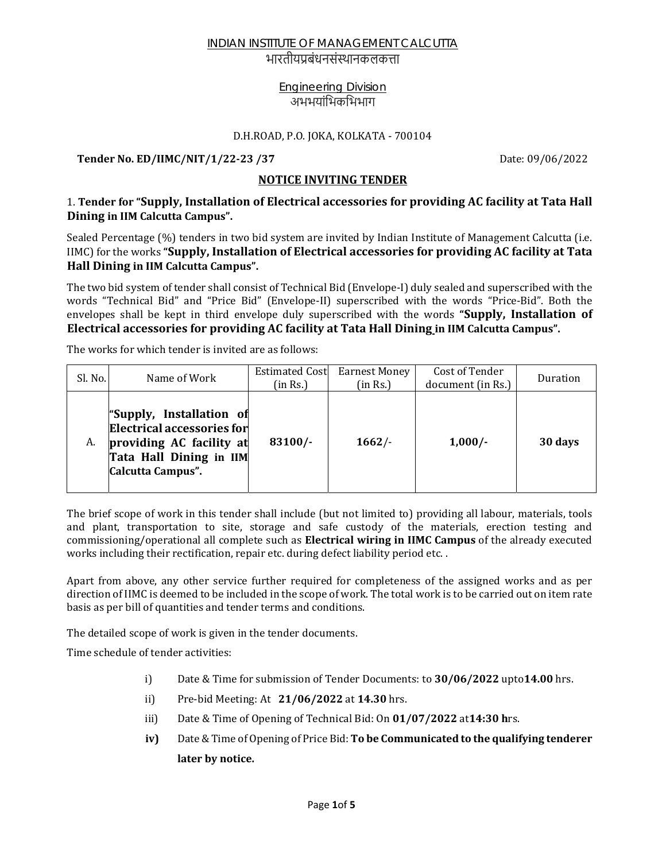भारतीयप्रबंधनसंस्थानकलकत्ता

## Engineering Division अभभयांभिकभिभाग

#### D.H.ROAD, P.O. JOKA, KOLKATA - 700104

**Tender No. ED/IIMC/NIT/1/22‐23 /37** Date: 09/06/2022

## **NOTICE INVITING TENDER**

## 1. **Tender for "Supply, Installation of Electrical accessories for providing AC facility at Tata Hall Dining in IIM Calcutta Campus".**

Sealed Percentage (%) tenders in two bid system are invited by Indian Institute of Management Calcutta (i.e. IIMC) for the works **"Supply, Installation of Electrical accessories for providing AC facility at Tata Hall Dining in IIM Calcutta Campus".**

The two bid system of tender shall consist of Technical Bid (Envelope-I) duly sealed and superscribed with the words "Technical Bid" and "Price Bid" (Envelope-II) superscribed with the words "Price-Bid". Both the envelopes shall be kept in third envelope duly superscribed with the words **"Supply, Installation of Electrical accessories for providing AC facility at Tata Hall Dining in IIM Calcutta Campus".**

The works for which tender is invited are as follows:

| Sl. No. | Name of Work                                                                                                                       | <b>Estimated Cost</b><br>(in Rs.) | Earnest Money<br>(in Rs.) | Cost of Tender<br>document (in Rs.) | Duration |
|---------|------------------------------------------------------------------------------------------------------------------------------------|-----------------------------------|---------------------------|-------------------------------------|----------|
| A.      | "Supply, Installation of<br>Electrical accessories for<br>providing AC facility at<br>Tata Hall Dining in IIM<br>Calcutta Campus". | $83100/-$                         | 1662/                     | $1,000/-$                           | 30 days  |

The brief scope of work in this tender shall include (but not limited to) providing all labour, materials, tools and plant, transportation to site, storage and safe custody of the materials, erection testing and commissioning/operational all complete such as **Electrical wiring in IIMC Campus** of the already executed works including their rectification, repair etc. during defect liability period etc. .

Apart from above, any other service further required for completeness of the assigned works and as per direction of IIMC is deemed to be included in the scope of work. The total work is to be carried out on item rate basis as per bill of quantities and tender terms and conditions.

The detailed scope of work is given in the tender documents.

Time schedule of tender activities:

- i) Date & Time for submission of Tender Documents: to **30/06/2022** upto**14.00** hrs.
- ii) Pre-bid Meeting: At **21/06/2022** at **14.30** hrs.
- iii) Date & Time of Opening of Technical Bid: On **01/07/2022** at**14:30 h**rs.
- **iv)** Date & Time of Opening of Price Bid: **To be Communicated to the qualifying tenderer later by notice.**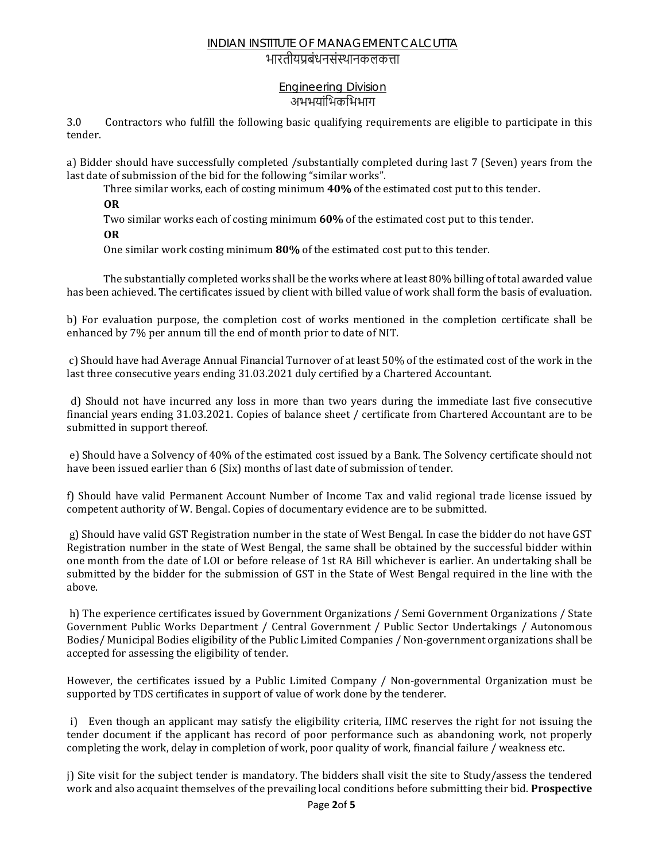## भारतीयप्रबंधनसंस्थानकलकत्ता

#### Engineering Division अभभयांिभकिभभाग

3.0Contractors who fulfill the following basic qualifying requirements are eligible to participate in this tender.

a) Bidder should have successfully completed /substantially completed during last 7 (Seven) years from the last date of submission of the bid for the following "similar works".

Three similar works, each of costing minimum **40%** of the estimated cost put to this tender.

**OR**

Two similar works each of costing minimum **60%** of the estimated cost put to this tender.

**OR**

One similar work costing minimum **80%** of the estimated cost put to this tender.

 The substantially completed works shall be the works where at least 80% billing of total awarded value has been achieved. The certificates issued by client with billed value of work shall form the basis of evaluation.

b) For evaluation purpose, the completion cost of works mentioned in the completion certificate shall be enhanced by 7% per annum till the end of month prior to date of NIT.

 c) Should have had Average Annual Financial Turnover of at least 50% of the estimated cost of the work in the last three consecutive years ending 31.03.2021 duly certified by a Chartered Accountant.

 d) Should not have incurred any loss in more than two years during the immediate last five consecutive financial years ending 31.03.2021. Copies of balance sheet / certificate from Chartered Accountant are to be submitted in support thereof.

 e) Should have a Solvency of 40% of the estimated cost issued by a Bank. The Solvency certificate should not have been issued earlier than 6 (Six) months of last date of submission of tender.

f) Should have valid Permanent Account Number of Income Tax and valid regional trade license issued by competent authority of W. Bengal. Copies of documentary evidence are to be submitted.

 g) Should have valid GST Registration number in the state of West Bengal. In case the bidder do not have GST Registration number in the state of West Bengal, the same shall be obtained by the successful bidder within one month from the date of LOI or before release of 1st RA Bill whichever is earlier. An undertaking shall be submitted by the bidder for the submission of GST in the State of West Bengal required in the line with the above.

 h) The experience certificates issued by Government Organizations / Semi Government Organizations / State Government Public Works Department / Central Government / Public Sector Undertakings / Autonomous Bodies/ Municipal Bodies eligibility of the Public Limited Companies / Non-government organizations shall be accepted for assessing the eligibility of tender.

However, the certificates issued by a Public Limited Company / Non-governmental Organization must be supported by TDS certificates in support of value of work done by the tenderer.

 i) Even though an applicant may satisfy the eligibility criteria, IIMC reserves the right for not issuing the tender document if the applicant has record of poor performance such as abandoning work, not properly completing the work, delay in completion of work, poor quality of work, financial failure / weakness etc.

j) Site visit for the subject tender is mandatory. The bidders shall visit the site to Study/assess the tendered work and also acquaint themselves of the prevailing local conditions before submitting their bid. **Prospective**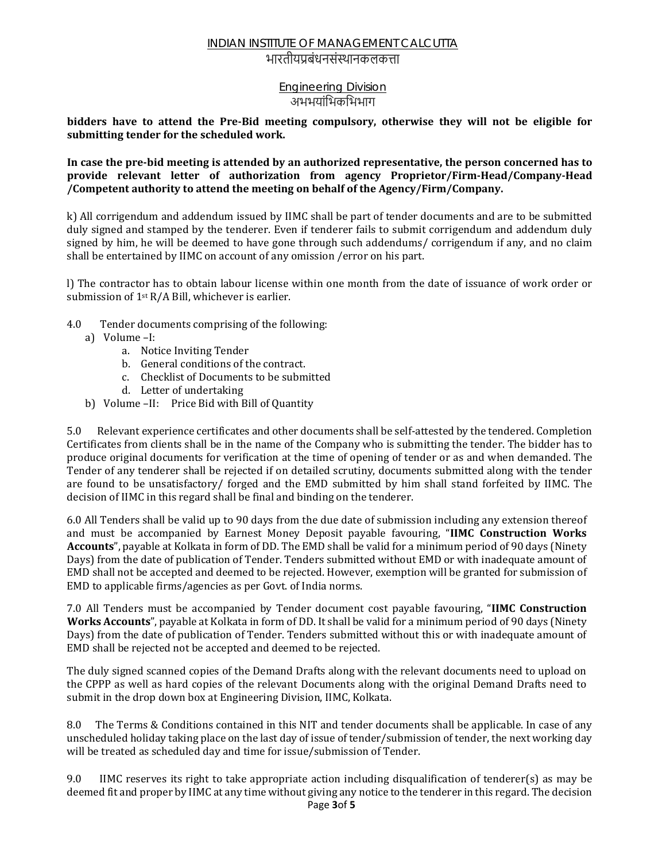## भारतीयप्रबंधनसंस्थानकलकत्ता

#### Engineering Division अभभयांिभकिभभाग

**bidders have to attend the Pre‐Bid meeting compulsory, otherwise they will not be eligible for submitting tender for the scheduled work.**

#### In case the pre-bid meeting is attended by an authorized representative, the person concerned has to **provide relevant letter of authorization from agency Proprietor/Firm‐Head/Company‐Head /Competent authority to attend the meeting on behalf of the Agency/Firm/Company.**

k) All corrigendum and addendum issued by IIMC shall be part of tender documents and are to be submitted duly signed and stamped by the tenderer. Even if tenderer fails to submit corrigendum and addendum duly signed by him, he will be deemed to have gone through such addendums/ corrigendum if any, and no claim shall be entertained by IIMC on account of any omission /error on his part.

l) The contractor has to obtain labour license within one month from the date of issuance of work order or submission of 1st R/A Bill, whichever is earlier.

- 4.0 Tender documents comprising of the following:
	- a) Volume –I:
		- a. Notice Inviting Tender
		- b. General conditions of the contract.
		- c. Checklist of Documents to be submitted
		- d. Letter of undertaking
	- b) Volume –II: Price Bid with Bill of Quantity

5.0 Relevant experience certificates and other documents shall be self-attested by the tendered. Completion Certificates from clients shall be in the name of the Company who is submitting the tender. The bidder has to produce original documents for verification at the time of opening of tender or as and when demanded. The Tender of any tenderer shall be rejected if on detailed scrutiny, documents submitted along with the tender are found to be unsatisfactory/ forged and the EMD submitted by him shall stand forfeited by IIMC. The decision of IIMC in this regard shall be final and binding on the tenderer.

6.0 All Tenders shall be valid up to 90 days from the due date of submission including any extension thereof and must be accompanied by Earnest Money Deposit payable favouring, "**IIMC Construction Works Accounts**", payable at Kolkata in form of DD. The EMD shall be valid for a minimum period of 90 days (Ninety Days) from the date of publication of Tender. Tenders submitted without EMD or with inadequate amount of EMD shall not be accepted and deemed to be rejected. However, exemption will be granted for submission of EMD to applicable firms/agencies as per Govt. of India norms.

7.0 All Tenders must be accompanied by Tender document cost payable favouring, "**IIMC Construction Works Accounts**", payable at Kolkata in form of DD. It shall be valid for a minimum period of 90 days (Ninety Days) from the date of publication of Tender. Tenders submitted without this or with inadequate amount of EMD shall be rejected not be accepted and deemed to be rejected.

The duly signed scanned copies of the Demand Drafts along with the relevant documents need to upload on the CPPP as well as hard copies of the relevant Documents along with the original Demand Drafts need to submit in the drop down box at Engineering Division, IIMC, Kolkata.

8.0 The Terms & Conditions contained in this NIT and tender documents shall be applicable. In case of any unscheduled holiday taking place on the last day of issue of tender/submission of tender, the next working day will be treated as scheduled day and time for issue/submission of Tender.

9.0 IIMC reserves its right to take appropriate action including disqualification of tenderer(s) as may be deemed fit and proper by IIMC at any time without giving any notice to the tenderer in this regard. The decision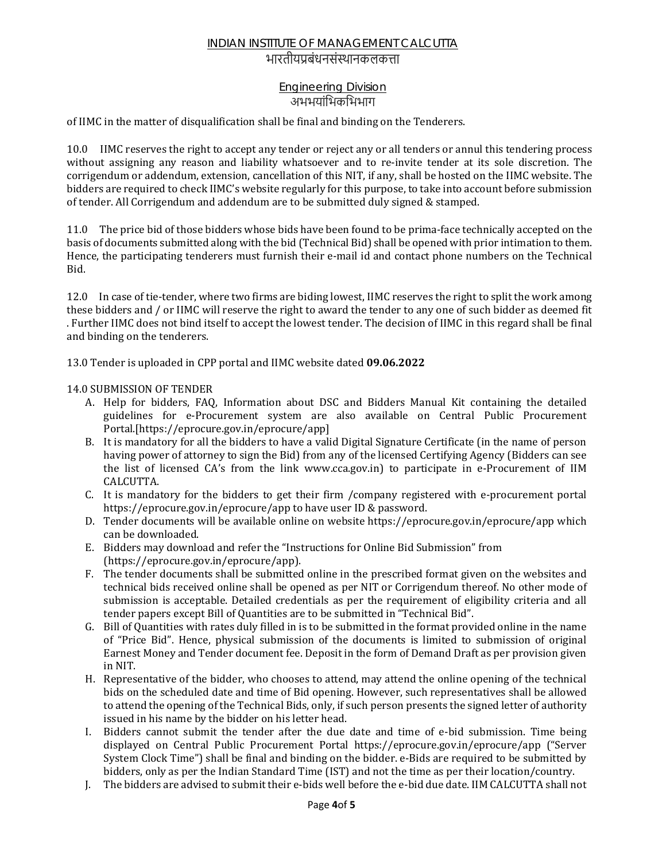## भारतीयप्रबंधनसंस्थानकलकत्ता

## Engineering Division अभभयांिभकिभभाग

of IIMC in the matter of disqualification shall be final and binding on the Tenderers.

10.0IIMC reserves the right to accept any tender or reject any or all tenders or annul this tendering process without assigning any reason and liability whatsoever and to re-invite tender at its sole discretion. The corrigendum or addendum, extension, cancellation of this NIT, if any, shall be hosted on the IIMC website. The bidders are required to check IIMC's website regularly for this purpose, to take into account before submission of tender. All Corrigendum and addendum are to be submitted duly signed & stamped.

11.0The price bid of those bidders whose bids have been found to be prima-face technically accepted on the basis of documents submitted along with the bid (Technical Bid) shall be opened with prior intimation to them. Hence, the participating tenderers must furnish their e-mail id and contact phone numbers on the Technical Bid.

12.0 In case of tie-tender, where two firms are biding lowest, IIMC reserves the right to split the work among these bidders and / or IIMC will reserve the right to award the tender to any one of such bidder as deemed fit . Further IIMC does not bind itself to accept the lowest tender. The decision of IIMC in this regard shall be final and binding on the tenderers.

13.0 Tender is uploaded in CPP portal and IIMC website dated **09.06.2022**

#### 14.0 SUBMISSION OF TENDER

- A. Help for bidders, FAQ, Information about DSC and Bidders Manual Kit containing the detailed guidelines for e-Procurement system are also available on Central Public Procurement Portal.[https://eprocure.gov.in/eprocure/app]
- B. It is mandatory for all the bidders to have a valid Digital Signature Certificate (in the name of person having power of attorney to sign the Bid) from any of the licensed Certifying Agency (Bidders can see the list of licensed CA's from the link www.cca.gov.in) to participate in e-Procurement of IIM CALCUTTA.
- C. It is mandatory for the bidders to get their firm /company registered with e-procurement portal https://eprocure.gov.in/eprocure/app to have user ID & password.
- D. Tender documents will be available online on website https://eprocure.gov.in/eprocure/app which can be downloaded.
- E. Bidders may download and refer the "Instructions for Online Bid Submission" from (https://eprocure.gov.in/eprocure/app).
- F. The tender documents shall be submitted online in the prescribed format given on the websites and technical bids received online shall be opened as per NIT or Corrigendum thereof. No other mode of submission is acceptable. Detailed credentials as per the requirement of eligibility criteria and all tender papers except Bill of Quantities are to be submitted in "Technical Bid".
- G. Bill of Quantities with rates duly filled in is to be submitted in the format provided online in the name of "Price Bid". Hence, physical submission of the documents is limited to submission of original Earnest Money and Tender document fee. Deposit in the form of Demand Draft as per provision given in NIT.
- H. Representative of the bidder, who chooses to attend, may attend the online opening of the technical bids on the scheduled date and time of Bid opening. However, such representatives shall be allowed to attend the opening of the Technical Bids, only, if such person presents the signed letter of authority issued in his name by the bidder on his letter head.
- I. Bidders cannot submit the tender after the due date and time of e-bid submission. Time being displayed on Central Public Procurement Portal https://eprocure.gov.in/eprocure/app ("Server System Clock Time") shall be final and binding on the bidder. e-Bids are required to be submitted by bidders, only as per the Indian Standard Time (IST) and not the time as per their location/country.
- J. The bidders are advised to submit their e-bids well before the e-bid due date. IIM CALCUTTA shall not